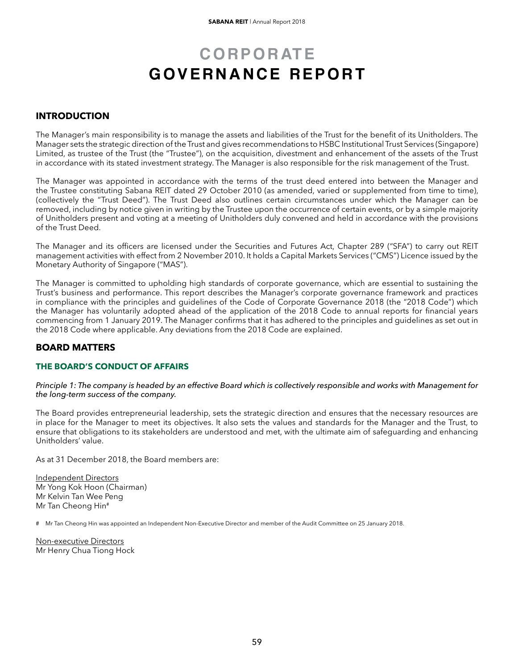# **CORPORATE** GOVERNANCE REPORT

## **INTRODUCTION**

The Manager's main responsibility is to manage the assets and liabilities of the Trust for the benefit of its Unitholders. The Manager sets the strategic direction of the Trust and gives recommendations to HSBC Institutional Trust Services (Singapore) Limited, as trustee of the Trust (the "Trustee"), on the acquisition, divestment and enhancement of the assets of the Trust in accordance with its stated investment strategy. The Manager is also responsible for the risk management of the Trust.

The Manager was appointed in accordance with the terms of the trust deed entered into between the Manager and the Trustee constituting Sabana REIT dated 29 October 2010 (as amended, varied or supplemented from time to time), (collectively the "Trust Deed"). The Trust Deed also outlines certain circumstances under which the Manager can be removed, including by notice given in writing by the Trustee upon the occurrence of certain events, or by a simple majority of Unitholders present and voting at a meeting of Unitholders duly convened and held in accordance with the provisions of the Trust Deed.

The Manager and its officers are licensed under the Securities and Futures Act, Chapter 289 ("SFA") to carry out REIT management activities with effect from 2 November 2010. It holds a Capital Markets Services ("CMS") Licence issued by the Monetary Authority of Singapore ("MAS").

The Manager is committed to upholding high standards of corporate governance, which are essential to sustaining the Trust's business and performance. This report describes the Manager's corporate governance framework and practices in compliance with the principles and guidelines of the Code of Corporate Governance 2018 (the "2018 Code") which the Manager has voluntarily adopted ahead of the application of the 2018 Code to annual reports for financial years commencing from 1 January 2019. The Manager confirms that it has adhered to the principles and guidelines as set out in the 2018 Code where applicable. Any deviations from the 2018 Code are explained.

## **BOARD MATTERS**

### **THE BOARD'S CONDUCT OF AFFAIRS**

#### *Principle 1: The company is headed by an effective Board which is collectively responsible and works with Management for the long-term success of the company.*

The Board provides entrepreneurial leadership, sets the strategic direction and ensures that the necessary resources are in place for the Manager to meet its objectives. It also sets the values and standards for the Manager and the Trust, to ensure that obligations to its stakeholders are understood and met, with the ultimate aim of safeguarding and enhancing Unitholders' value.

As at 31 December 2018, the Board members are:

Independent Directors Mr Yong Kok Hoon (Chairman) Mr Kelvin Tan Wee Peng Mr Tan Cheong Hin#

# Mr Tan Cheong Hin was appointed an Independent Non-Executive Director and member of the Audit Committee on 25 January 2018.

Non-executive Directors Mr Henry Chua Tiong Hock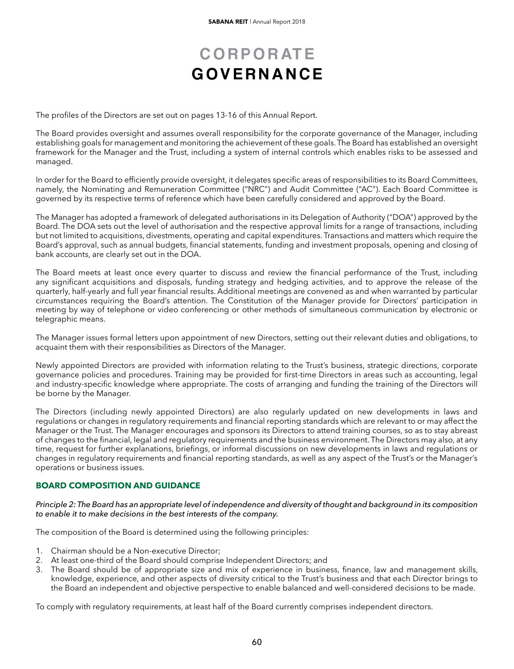The profiles of the Directors are set out on pages 13-16 of this Annual Report.

The Board provides oversight and assumes overall responsibility for the corporate governance of the Manager, including establishing goals for management and monitoring the achievement of these goals.The Board has established an oversight framework for the Manager and the Trust, including a system of internal controls which enables risks to be assessed and managed.

In order for the Board to efficiently provide oversight, it delegates specific areas of responsibilities to its Board Committees, namely, the Nominating and Remuneration Committee ("NRC") and Audit Committee ("AC"). Each Board Committee is governed by its respective terms of reference which have been carefully considered and approved by the Board.

The Manager has adopted a framework of delegated authorisations in its Delegation of Authority ("DOA") approved by the Board. The DOA sets out the level of authorisation and the respective approval limits for a range of transactions, including but not limited to acquisitions, divestments, operating and capital expenditures. Transactions and matters which require the Board's approval, such as annual budgets, financial statements, funding and investment proposals, opening and closing of bank accounts, are clearly set out in the DOA.

The Board meets at least once every quarter to discuss and review the financial performance of the Trust, including any significant acquisitions and disposals, funding strategy and hedging activities, and to approve the release of the quarterly, half-yearly and full year financial results. Additional meetings are convened as and when warranted by particular circumstances requiring the Board's attention. The Constitution of the Manager provide for Directors' participation in meeting by way of telephone or video conferencing or other methods of simultaneous communication by electronic or telegraphic means.

The Manager issues formal letters upon appointment of new Directors, setting out their relevant duties and obligations, to acquaint them with their responsibilities as Directors of the Manager.

Newly appointed Directors are provided with information relating to the Trust's business, strategic directions, corporate governance policies and procedures. Training may be provided for first-time Directors in areas such as accounting, legal and industry-specific knowledge where appropriate. The costs of arranging and funding the training of the Directors will be borne by the Manager.

The Directors (including newly appointed Directors) are also regularly updated on new developments in laws and regulations or changes in regulatory requirements and financial reporting standards which are relevant to or may affect the Manager or the Trust. The Manager encourages and sponsors its Directors to attend training courses, so as to stay abreast of changes to the financial, legal and regulatory requirements and the business environment. The Directors may also, at any time, request for further explanations, briefings, or informal discussions on new developments in laws and regulations or changes in regulatory requirements and financial reporting standards, as well as any aspect of the Trust's or the Manager's operations or business issues.

### **BOARD COMPOSITION AND GUIDANCE**

### *Principle 2: The Board has an appropriate level of independence and diversity of thought and background in its composition to enable it to make decisions in the best interests of the company.*

The composition of the Board is determined using the following principles:

- 1. Chairman should be a Non-executive Director;
- 2. At least one-third of the Board should comprise Independent Directors; and
- 3. The Board should be of appropriate size and mix of experience in business, finance, law and management skills, knowledge, experience, and other aspects of diversity critical to the Trust's business and that each Director brings to the Board an independent and objective perspective to enable balanced and well-considered decisions to be made.

To comply with regulatory requirements, at least half of the Board currently comprises independent directors.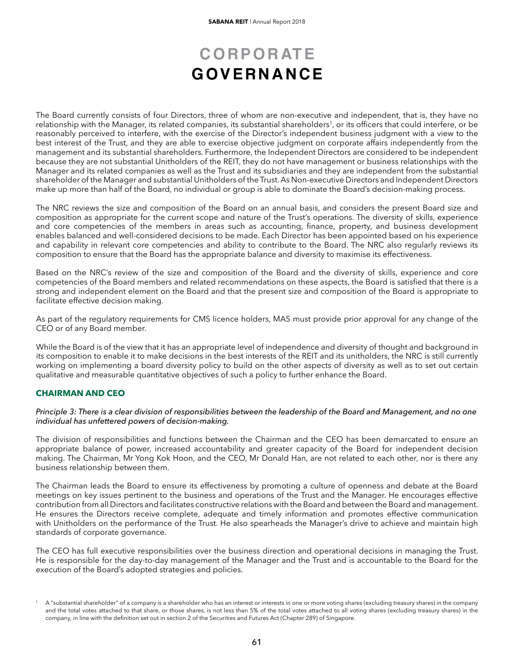The Board currently consists of four Directors, three of whom are non-executive and independent, that is, they have no relationship with the Manager, its related companies, its substantial shareholders<sup>1</sup>, or its officers that could interfere, or be reasonably perceived to interfere, with the exercise of the Director's independent business judgment with a view to the best interest of the Trust, and they are able to exercise objective judgment on corporate affairs independently from the management and its substantial shareholders. Furthermore, the Independent Directors are considered to be independent because they are not substantial Unitholders of the REIT, they do not have management or business relationships with the Manager and its related companies as well as the Trust and its subsidiaries and they are independent from the substantial shareholder of the Manager and substantial Unitholders of the Trust.As Non-executive Directors and Independent Directors make up more than half of the Board, no individual or group is able to dominate the Board's decision-making process.

The NRC reviews the size and composition of the Board on an annual basis, and considers the present Board size and composition as appropriate for the current scope and nature of the Trust's operations. The diversity of skills, experience and core competencies of the members in areas such as accounting, finance, property, and business development enables balanced and well-considered decisions to be made. Each Director has been appointed based on his experience and capability in relevant core competencies and ability to contribute to the Board. The NRC also regularly reviews its composition to ensure that the Board has the appropriate balance and diversity to maximise its effectiveness.

Based on the NRC's review of the size and composition of the Board and the diversity of skills, experience and core competencies of the Board members and related recommendations on these aspects, the Board is satisfied that there is a strong and independent element on the Board and that the present size and composition of the Board is appropriate to facilitate effective decision making.

As part of the regulatory requirements for CMS licence holders, MAS must provide prior approval for any change of the CEO or of any Board member.

While the Board is of the view that it has an appropriate level of independence and diversity of thought and background in its composition to enable it to make decisions in the best interests of the REIT and its unitholders, the NRC is still currently working on implementing a board diversity policy to build on the other aspects of diversity as well as to set out certain qualitative and measurable quantitative objectives of such a policy to further enhance the Board.

### **CHAIRMAN AND CEO**

#### *Principle 3: There is a clear division of responsibilities between the leadership of the Board and Management, and no one individual has unfettered powers of decision-making.*

The division of responsibilities and functions between the Chairman and the CEO has been demarcated to ensure an appropriate balance of power, increased accountability and greater capacity of the Board for independent decision making. The Chairman, Mr Yong Kok Hoon, and the CEO, Mr Donald Han, are not related to each other, nor is there any business relationship between them.

The Chairman leads the Board to ensure its effectiveness by promoting a culture of openness and debate at the Board meetings on key issues pertinent to the business and operations of the Trust and the Manager. He encourages effective contribution from all Directors and facilitates constructive relations with the Board and between the Board and management. He ensures the Directors receive complete, adequate and timely information and promotes effective communication with Unitholders on the performance of the Trust. He also spearheads the Manager's drive to achieve and maintain high standards of corporate governance.

The CEO has full executive responsibilities over the business direction and operational decisions in managing the Trust. He is responsible for the day-to-day management of the Manager and the Trust and is accountable to the Board for the execution of the Board's adopted strategies and policies.

A "substantial shareholder" of a company is a shareholder who has an interest or interests in one or more voting shares (excluding treasury shares) in the company and the total votes attached to that share, or those shares, is not less than 5% of the total votes attached to all voting shares (excluding treasury shares) in the company, in line with the definition set out in section 2 of the Securities and Futures Act (Chapter 289) of Singapore.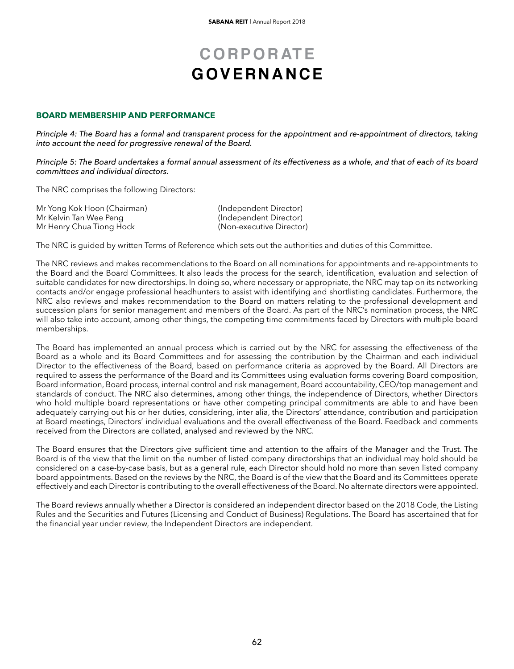### **BOARD MEMBERSHIP AND PERFORMANCE**

*Principle 4: The Board has a formal and transparent process for the appointment and re-appointment of directors, taking into account the need for progressive renewal of the Board.*

*Principle 5: The Board undertakes a formal annual assessment of its effectiveness as a whole, and that of each of its board committees and individual directors.*

The NRC comprises the following Directors:

| Mr Yong Kok Hoon (Chairman) | (Independent Director)   |
|-----------------------------|--------------------------|
| Mr Kelvin Tan Wee Peng      | (Independent Director)   |
| Mr Henry Chua Tiong Hock    | (Non-executive Director) |

The NRC is guided by written Terms of Reference which sets out the authorities and duties of this Committee.

The NRC reviews and makes recommendations to the Board on all nominations for appointments and re-appointments to the Board and the Board Committees. It also leads the process for the search, identification, evaluation and selection of suitable candidates for new directorships. In doing so, where necessary or appropriate, the NRC may tap on its networking contacts and/or engage professional headhunters to assist with identifying and shortlisting candidates. Furthermore, the NRC also reviews and makes recommendation to the Board on matters relating to the professional development and succession plans for senior management and members of the Board. As part of the NRC's nomination process, the NRC will also take into account, among other things, the competing time commitments faced by Directors with multiple board memberships.

The Board has implemented an annual process which is carried out by the NRC for assessing the effectiveness of the Board as a whole and its Board Committees and for assessing the contribution by the Chairman and each individual Director to the effectiveness of the Board, based on performance criteria as approved by the Board. All Directors are required to assess the performance of the Board and its Committees using evaluation forms covering Board composition, Board information, Board process, internal control and risk management, Board accountability, CEO/top management and standards of conduct. The NRC also determines, among other things, the independence of Directors, whether Directors who hold multiple board representations or have other competing principal commitments are able to and have been adequately carrying out his or her duties, considering, inter alia, the Directors' attendance, contribution and participation at Board meetings, Directors' individual evaluations and the overall effectiveness of the Board. Feedback and comments received from the Directors are collated, analysed and reviewed by the NRC.

The Board ensures that the Directors give sufficient time and attention to the affairs of the Manager and the Trust. The Board is of the view that the limit on the number of listed company directorships that an individual may hold should be considered on a case-by-case basis, but as a general rule, each Director should hold no more than seven listed company board appointments. Based on the reviews by the NRC, the Board is of the view that the Board and its Committees operate effectively and each Director is contributing to the overall effectiveness of the Board. No alternate directors were appointed.

The Board reviews annually whether a Director is considered an independent director based on the 2018 Code, the Listing Rules and the Securities and Futures (Licensing and Conduct of Business) Regulations. The Board has ascertained that for the financial year under review, the Independent Directors are independent.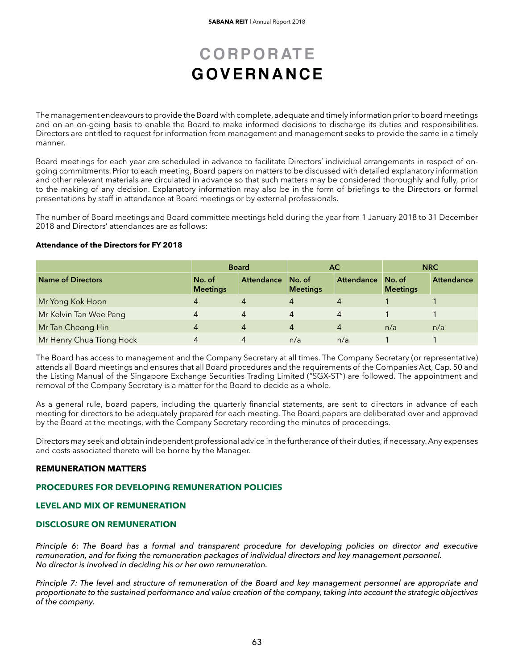The management endeavours to provide the Board with complete, adequate and timely information prior to board meetings and on an on-going basis to enable the Board to make informed decisions to discharge its duties and responsibilities. Directors are entitled to request for information from management and management seeks to provide the same in a timely manner.

Board meetings for each year are scheduled in advance to facilitate Directors' individual arrangements in respect of ongoing commitments. Prior to each meeting, Board papers on matters to be discussed with detailed explanatory information and other relevant materials are circulated in advance so that such matters may be considered thoroughly and fully, prior to the making of any decision. Explanatory information may also be in the form of briefings to the Directors or formal presentations by staff in attendance at Board meetings or by external professionals.

The number of Board meetings and Board committee meetings held during the year from 1 January 2018 to 31 December 2018 and Directors' attendances are as follows:

#### **Attendance of the Directors for FY 2018**

|                          | <b>Board</b>              |                | AC.                       |            | <b>NRC</b>                |            |
|--------------------------|---------------------------|----------------|---------------------------|------------|---------------------------|------------|
| <b>Name of Directors</b> | No. of<br><b>Meetings</b> | Attendance     | No. of<br><b>Meetings</b> | Attendance | No. of<br><b>Meetings</b> | Attendance |
| Mr Yong Kok Hoon         | 4                         |                | 4                         |            |                           |            |
| Mr Kelvin Tan Wee Peng   | 4                         | $\overline{4}$ | 4                         | 4          |                           |            |
| Mr Tan Cheong Hin        | 4                         | $\overline{4}$ | 4                         | 4          | n/a                       | n/a        |
| Mr Henry Chua Tiong Hock | 4                         | 4              | n/a                       | n/a        |                           |            |

The Board has access to management and the Company Secretary at all times. The Company Secretary (or representative) attends all Board meetings and ensures that all Board procedures and the requirements of the Companies Act, Cap. 50 and the Listing Manual of the Singapore Exchange Securities Trading Limited ("SGX-ST") are followed. The appointment and removal of the Company Secretary is a matter for the Board to decide as a whole.

As a general rule, board papers, including the quarterly financial statements, are sent to directors in advance of each meeting for directors to be adequately prepared for each meeting. The Board papers are deliberated over and approved by the Board at the meetings, with the Company Secretary recording the minutes of proceedings.

Directors may seek and obtain independent professional advice in the furtherance of their duties, if necessary.Any expenses and costs associated thereto will be borne by the Manager.

### **REMUNERATION MATTERS**

### **PROCEDURES FOR DEVELOPING REMUNERATION POLICIES**

### **LEVEL AND MIX OF REMUNERATION**

#### **DISCLOSURE ON REMUNERATION**

*Principle 6: The Board has a formal and transparent procedure for developing policies on director and executive remuneration, and for fixing the remuneration packages of individual directors and key management personnel. No director is involved in deciding his or her own remuneration.*

*Principle 7: The level and structure of remuneration of the Board and key management personnel are appropriate and proportionate to the sustained performance and value creation of the company, taking into account the strategic objectives of the company.*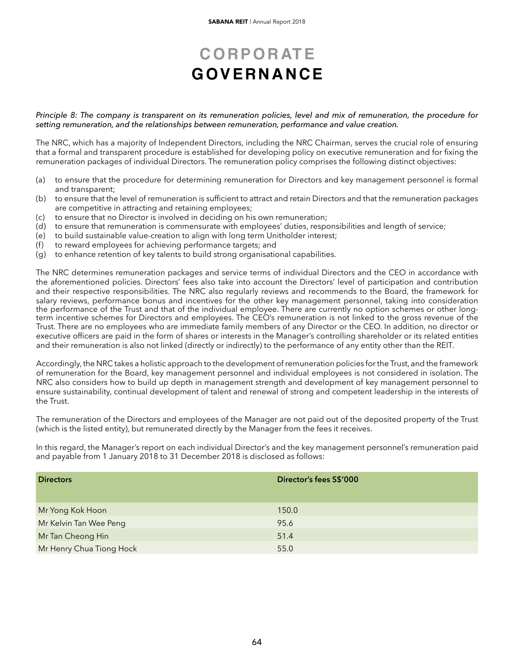#### *Principle 8: The company is transparent on its remuneration policies, level and mix of remuneration, the procedure for setting remuneration, and the relationships between remuneration, performance and value creation.*

The NRC, which has a majority of Independent Directors, including the NRC Chairman, serves the crucial role of ensuring that a formal and transparent procedure is established for developing policy on executive remuneration and for fixing the remuneration packages of individual Directors. The remuneration policy comprises the following distinct objectives:

- (a) to ensure that the procedure for determining remuneration for Directors and key management personnel is formal and transparent;
- (b) to ensure that the level of remuneration is sufficient to attract and retain Directors and that the remuneration packages are competitive in attracting and retaining employees;
- (c) to ensure that no Director is involved in deciding on his own remuneration;
- (d) to ensure that remuneration is commensurate with employees' duties, responsibilities and length of service;<br>(e) to build sustainable value-creation to align with long term Unitholder interest;
- to build sustainable value-creation to align with long term Unitholder interest;
- (f) to reward employees for achieving performance targets; and
- (g) to enhance retention of key talents to build strong organisational capabilities.

The NRC determines remuneration packages and service terms of individual Directors and the CEO in accordance with the aforementioned policies. Directors' fees also take into account the Directors' level of participation and contribution and their respective responsibilities. The NRC also regularly reviews and recommends to the Board, the framework for salary reviews, performance bonus and incentives for the other key management personnel, taking into consideration the performance of the Trust and that of the individual employee. There are currently no option schemes or other longterm incentive schemes for Directors and employees. The CEO's remuneration is not linked to the gross revenue of the Trust. There are no employees who are immediate family members of any Director or the CEO. In addition, no director or executive officers are paid in the form of shares or interests in the Manager's controlling shareholder or its related entities and their remuneration is also not linked (directly or indirectly) to the performance of any entity other than the REIT.

Accordingly, the NRC takes a holistic approach to the development of remuneration policies for the Trust, and the framework of remuneration for the Board, key management personnel and individual employees is not considered in isolation. The NRC also considers how to build up depth in management strength and development of key management personnel to ensure sustainability, continual development of talent and renewal of strong and competent leadership in the interests of the Trust.

The remuneration of the Directors and employees of the Manager are not paid out of the deposited property of the Trust (which is the listed entity), but remunerated directly by the Manager from the fees it receives.

In this regard, the Manager's report on each individual Director's and the key management personnel's remuneration paid and payable from 1 January 2018 to 31 December 2018 is disclosed as follows:

| <b>Directors</b>         | Director's fees S\$'000 |
|--------------------------|-------------------------|
| Mr Yong Kok Hoon         | 150.0                   |
| Mr Kelvin Tan Wee Peng   | 95.6                    |
| Mr Tan Cheong Hin        | 51.4                    |
| Mr Henry Chua Tiong Hock | 55.0                    |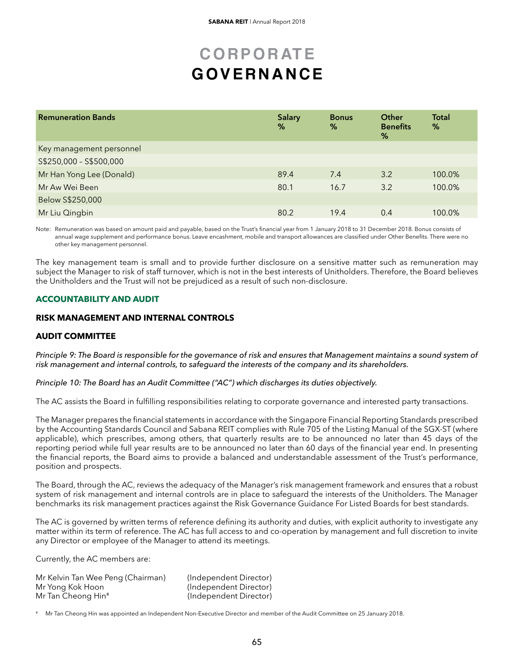| <b>Remuneration Bands</b> | <b>Salary</b><br>% | <b>Bonus</b><br>℅ | Other<br><b>Benefits</b><br>% | <b>Total</b><br>% |
|---------------------------|--------------------|-------------------|-------------------------------|-------------------|
| Key management personnel  |                    |                   |                               |                   |
| S\$250,000 - S\$500,000   |                    |                   |                               |                   |
| Mr Han Yong Lee (Donald)  | 89.4               | 7.4               | 3.2                           | 100.0%            |
| Mr Aw Wei Been            | 80.1               | 16.7              | 3.2                           | 100.0%            |
| Below S\$250,000          |                    |                   |                               |                   |
| Mr Liu Qingbin            | 80.2               | 19.4              | 0.4                           | 100.0%            |

Note: Remuneration was based on amount paid and payable, based on the Trust's financial year from 1 January 2018 to 31 December 2018. Bonus consists of annual wage supplement and performance bonus. Leave encashment, mobile and transport allowances are classified under Other Benefits. There were no other key management personnel.

The key management team is small and to provide further disclosure on a sensitive matter such as remuneration may subject the Manager to risk of staff turnover, which is not in the best interests of Unitholders. Therefore, the Board believes the Unitholders and the Trust will not be prejudiced as a result of such non-disclosure.

### **ACCOUNTABILITY AND AUDIT**

### **RISK MANAGEMENT AND INTERNAL CONTROLS**

### **AUDIT COMMITTEE**

*Principle 9: The Board is responsible for the governance of risk and ensures that Management maintains a sound system of risk management and internal controls, to safeguard the interests of the company and its shareholders.*

*Principle 10: The Board has an Audit Committee ("AC") which discharges its duties objectively.*

The AC assists the Board in fulfilling responsibilities relating to corporate governance and interested party transactions.

The Manager prepares the financial statements in accordance with the Singapore Financial Reporting Standards prescribed by the Accounting Standards Council and Sabana REIT complies with Rule 705 of the Listing Manual of the SGX-ST (where applicable), which prescribes, among others, that quarterly results are to be announced no later than 45 days of the reporting period while full year results are to be announced no later than 60 days of the financial year end. In presenting the financial reports, the Board aims to provide a balanced and understandable assessment of the Trust's performance, position and prospects.

The Board, through the AC, reviews the adequacy of the Manager's risk management framework and ensures that a robust system of risk management and internal controls are in place to safeguard the interests of the Unitholders. The Manager benchmarks its risk management practices against the Risk Governance Guidance For Listed Boards for best standards.

The AC is governed by written terms of reference defining its authority and duties, with explicit authority to investigate any matter within its term of reference. The AC has full access to and co-operation by management and full discretion to invite any Director or employee of the Manager to attend its meetings.

Currently, the AC members are:

| Mr Kelvin Tan Wee Peng (Chairman) | (Independent Director) |
|-----------------------------------|------------------------|
| Mr Yong Kok Hoon                  | (Independent Director) |
| Mr Tan Cheong Hin#                | (Independent Director) |

Mr Tan Cheong Hin was appointed an Independent Non-Executive Director and member of the Audit Committee on 25 January 2018.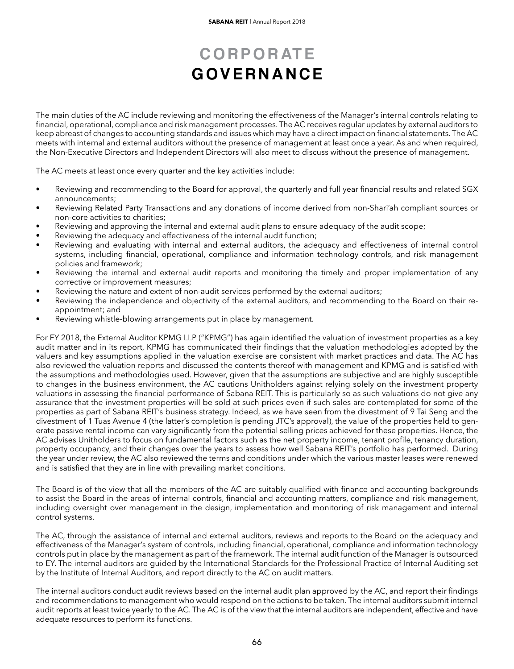The main duties of the AC include reviewing and monitoring the effectiveness of the Manager's internal controls relating to financial, operational, compliance and risk management processes. The AC receives regular updates by external auditors to keep abreast of changes to accounting standards and issues which may have a direct impact on financial statements.The AC meets with internal and external auditors without the presence of management at least once a year. As and when required, the Non-Executive Directors and Independent Directors will also meet to discuss without the presence of management.

The AC meets at least once every quarter and the key activities include:

- Reviewing and recommending to the Board for approval, the quarterly and full year financial results and related SGX announcements;
- Reviewing Related Party Transactions and any donations of income derived from non-Shari'ah compliant sources or non-core activities to charities;
- Reviewing and approving the internal and external audit plans to ensure adequacy of the audit scope;
- Reviewing the adequacy and effectiveness of the internal audit function;
- Reviewing and evaluating with internal and external auditors, the adequacy and effectiveness of internal control systems, including financial, operational, compliance and information technology controls, and risk management policies and framework;
- Reviewing the internal and external audit reports and monitoring the timely and proper implementation of any corrective or improvement measures;
- Reviewing the nature and extent of non-audit services performed by the external auditors;
- Reviewing the independence and objectivity of the external auditors, and recommending to the Board on their reappointment; and
- Reviewing whistle-blowing arrangements put in place by management.

For FY 2018, the External Auditor KPMG LLP ("KPMG") has again identified the valuation of investment properties as a key audit matter and in its report, KPMG has communicated their findings that the valuation methodologies adopted by the valuers and key assumptions applied in the valuation exercise are consistent with market practices and data. The AC has also reviewed the valuation reports and discussed the contents thereof with management and KPMG and is satisfied with the assumptions and methodologies used. However, given that the assumptions are subjective and are highly susceptible to changes in the business environment, the AC cautions Unitholders against relying solely on the investment property valuations in assessing the financial performance of Sabana REIT. This is particularly so as such valuations do not give any assurance that the investment properties will be sold at such prices even if such sales are contemplated for some of the properties as part of Sabana REIT's business strategy. Indeed, as we have seen from the divestment of 9 Tai Seng and the divestment of 1 Tuas Avenue 4 (the latter's completion is pending JTC's approval), the value of the properties held to generate passive rental income can vary significantly from the potential selling prices achieved for these properties. Hence, the AC advises Unitholders to focus on fundamental factors such as the net property income, tenant profile, tenancy duration, property occupancy, and their changes over the years to assess how well Sabana REIT's portfolio has performed. During the year under review, the AC also reviewed the terms and conditions under which the various master leases were renewed and is satisfied that they are in line with prevailing market conditions.

The Board is of the view that all the members of the AC are suitably qualified with finance and accounting backgrounds to assist the Board in the areas of internal controls, financial and accounting matters, compliance and risk management, including oversight over management in the design, implementation and monitoring of risk management and internal control systems.

The AC, through the assistance of internal and external auditors, reviews and reports to the Board on the adequacy and effectiveness of the Manager's system of controls, including financial, operational, compliance and information technology controls put in place by the management as part of the framework. The internal audit function of the Manager is outsourced to EY. The internal auditors are guided by the International Standards for the Professional Practice of Internal Auditing set by the Institute of Internal Auditors, and report directly to the AC on audit matters.

The internal auditors conduct audit reviews based on the internal audit plan approved by the AC, and report their findings and recommendations to management who would respond on the actions to be taken. The internal auditors submit internal audit reports at least twice yearly to the AC. The AC is of the view that the internal auditors are independent, effective and have adequate resources to perform its functions.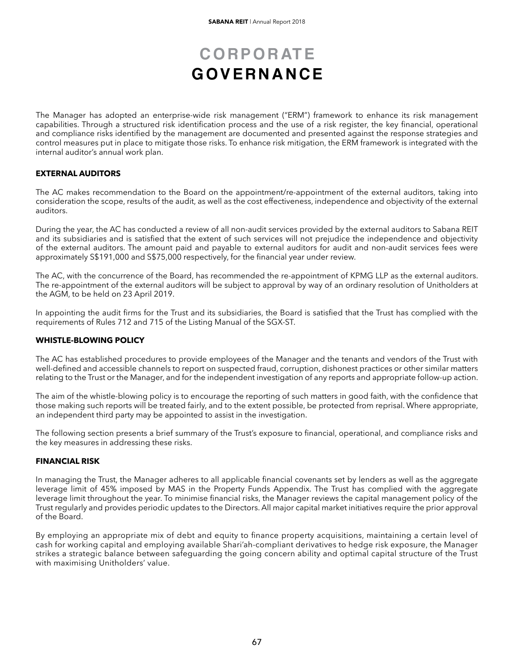The Manager has adopted an enterprise-wide risk management ("ERM") framework to enhance its risk management capabilities. Through a structured risk identification process and the use of a risk register, the key financial, operational and compliance risks identified by the management are documented and presented against the response strategies and control measures put in place to mitigate those risks. To enhance risk mitigation, the ERM framework is integrated with the internal auditor's annual work plan.

### **EXTERNAL AUDITORS**

The AC makes recommendation to the Board on the appointment/re-appointment of the external auditors, taking into consideration the scope, results of the audit, as well as the cost effectiveness, independence and objectivity of the external auditors.

During the year, the AC has conducted a review of all non-audit services provided by the external auditors to Sabana REIT and its subsidiaries and is satisfied that the extent of such services will not prejudice the independence and objectivity of the external auditors. The amount paid and payable to external auditors for audit and non-audit services fees were approximately S\$191,000 and S\$75,000 respectively, for the financial year under review.

The AC, with the concurrence of the Board, has recommended the re-appointment of KPMG LLP as the external auditors. The re-appointment of the external auditors will be subject to approval by way of an ordinary resolution of Unitholders at the AGM, to be held on 23 April 2019.

In appointing the audit firms for the Trust and its subsidiaries, the Board is satisfied that the Trust has complied with the requirements of Rules 712 and 715 of the Listing Manual of the SGX-ST.

#### **WHISTLE-BLOWING POLICY**

The AC has established procedures to provide employees of the Manager and the tenants and vendors of the Trust with well-defined and accessible channels to report on suspected fraud, corruption, dishonest practices or other similar matters relating to the Trust or the Manager, and for the independent investigation of any reports and appropriate follow-up action.

The aim of the whistle-blowing policy is to encourage the reporting of such matters in good faith, with the confidence that those making such reports will be treated fairly, and to the extent possible, be protected from reprisal. Where appropriate, an independent third party may be appointed to assist in the investigation.

The following section presents a brief summary of the Trust's exposure to financial, operational, and compliance risks and the key measures in addressing these risks.

### **FINANCIAL RISK**

In managing the Trust, the Manager adheres to all applicable financial covenants set by lenders as well as the aggregate leverage limit of 45% imposed by MAS in the Property Funds Appendix. The Trust has complied with the aggregate leverage limit throughout the year. To minimise financial risks, the Manager reviews the capital management policy of the Trust regularly and provides periodic updates to the Directors. All major capital market initiatives require the prior approval of the Board.

By employing an appropriate mix of debt and equity to finance property acquisitions, maintaining a certain level of cash for working capital and employing available Shari'ah-compliant derivatives to hedge risk exposure, the Manager strikes a strategic balance between safeguarding the going concern ability and optimal capital structure of the Trust with maximising Unitholders' value.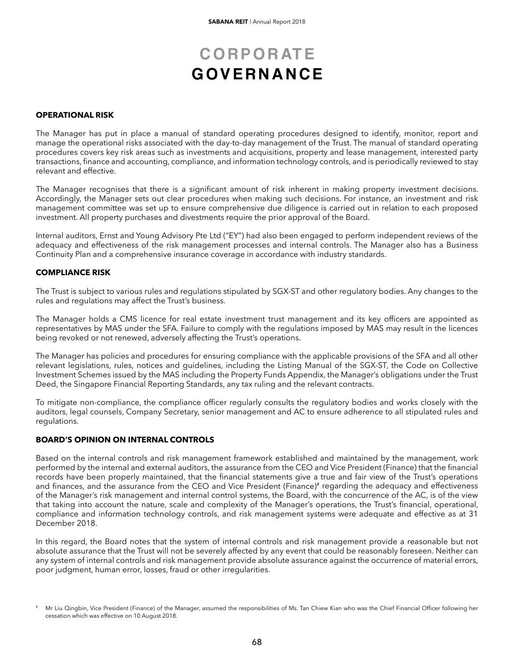#### **OPERATIONAL RISK**

The Manager has put in place a manual of standard operating procedures designed to identify, monitor, report and manage the operational risks associated with the day-to-day management of the Trust. The manual of standard operating procedures covers key risk areas such as investments and acquisitions, property and lease management, interested party transactions, finance and accounting, compliance, and information technology controls, and is periodically reviewed to stay relevant and effective.

The Manager recognises that there is a significant amount of risk inherent in making property investment decisions. Accordingly, the Manager sets out clear procedures when making such decisions. For instance, an investment and risk management committee was set up to ensure comprehensive due diligence is carried out in relation to each proposed investment. All property purchases and divestments require the prior approval of the Board.

Internal auditors, Ernst and Young Advisory Pte Ltd ("EY") had also been engaged to perform independent reviews of the adequacy and effectiveness of the risk management processes and internal controls. The Manager also has a Business Continuity Plan and a comprehensive insurance coverage in accordance with industry standards.

#### **COMPLIANCE RISK**

The Trust is subject to various rules and regulations stipulated by SGX-ST and other regulatory bodies. Any changes to the rules and regulations may affect the Trust's business.

The Manager holds a CMS licence for real estate investment trust management and its key officers are appointed as representatives by MAS under the SFA. Failure to comply with the regulations imposed by MAS may result in the licences being revoked or not renewed, adversely affecting the Trust's operations.

The Manager has policies and procedures for ensuring compliance with the applicable provisions of the SFA and all other relevant legislations, rules, notices and guidelines, including the Listing Manual of the SGX-ST, the Code on Collective Investment Schemes issued by the MAS including the Property Funds Appendix, the Manager's obligations under the Trust Deed, the Singapore Financial Reporting Standards, any tax ruling and the relevant contracts.

To mitigate non-compliance, the compliance officer regularly consults the regulatory bodies and works closely with the auditors, legal counsels, Company Secretary, senior management and AC to ensure adherence to all stipulated rules and regulations.

### **BOARD'S OPINION ON INTERNAL CONTROLS**

Based on the internal controls and risk management framework established and maintained by the management, work performed by the internal and external auditors, the assurance from the CEO and Vice President (Finance) that the financial records have been properly maintained, that the financial statements give a true and fair view of the Trust's operations and finances, and the assurance from the CEO and Vice President (Finance)<sup>#</sup> regarding the adequacy and effectiveness of the Manager's risk management and internal control systems, the Board, with the concurrence of the AC, is of the view that taking into account the nature, scale and complexity of the Manager's operations, the Trust's financial, operational, compliance and information technology controls, and risk management systems were adequate and effective as at 31 December 2018.

In this regard, the Board notes that the system of internal controls and risk management provide a reasonable but not absolute assurance that the Trust will not be severely affected by any event that could be reasonably foreseen. Neither can any system of internal controls and risk management provide absolute assurance against the occurrence of material errors, poor judgment, human error, losses, fraud or other irregularities.

Mr Liu Qingbin, Vice President (Finance) of the Manager, assumed the responsibilities of Ms. Tan Chiew Kian who was the Chief Financial Officer following her cessation which was effective on 10 August 2018.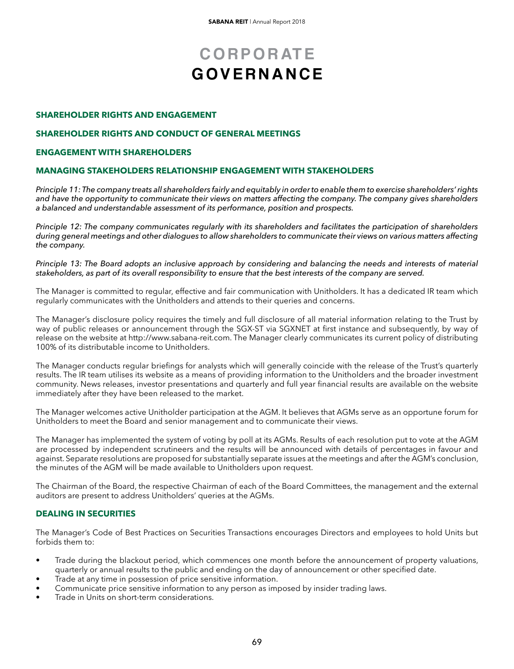### **SHAREHOLDER RIGHTS AND ENGAGEMENT**

#### **SHAREHOLDER RIGHTS AND CONDUCT OF GENERAL MEETINGS**

#### **ENGAGEMENT WITH SHAREHOLDERS**

### **MANAGING STAKEHOLDERS RELATIONSHIP ENGAGEMENT WITH STAKEHOLDERS**

*Principle 11: The company treats all shareholders fairly and equitably in order to enable them to exercise shareholders' rights and have the opportunity to communicate their views on matters affecting the company. The company gives shareholders a balanced and understandable assessment of its performance, position and prospects.*

*Principle 12: The company communicates regularly with its shareholders and facilitates the participation of shareholders during general meetings and other dialogues to allow shareholders to communicate their views on various matters affecting the company.*

*Principle 13: The Board adopts an inclusive approach by considering and balancing the needs and interests of material stakeholders, as part of its overall responsibility to ensure that the best interests of the company are served.*

The Manager is committed to regular, effective and fair communication with Unitholders. It has a dedicated IR team which regularly communicates with the Unitholders and attends to their queries and concerns.

The Manager's disclosure policy requires the timely and full disclosure of all material information relating to the Trust by way of public releases or announcement through the SGX-ST via SGXNET at first instance and subsequently, by way of release on the website at http://www.sabana-reit.com. The Manager clearly communicates its current policy of distributing 100% of its distributable income to Unitholders.

The Manager conducts regular briefings for analysts which will generally coincide with the release of the Trust's quarterly results. The IR team utilises its website as a means of providing information to the Unitholders and the broader investment community. News releases, investor presentations and quarterly and full year financial results are available on the website immediately after they have been released to the market.

The Manager welcomes active Unitholder participation at the AGM. It believes that AGMs serve as an opportune forum for Unitholders to meet the Board and senior management and to communicate their views.

The Manager has implemented the system of voting by poll at its AGMs. Results of each resolution put to vote at the AGM are processed by independent scrutineers and the results will be announced with details of percentages in favour and against. Separate resolutions are proposed for substantially separate issues at the meetings and after the AGM's conclusion, the minutes of the AGM will be made available to Unitholders upon request.

The Chairman of the Board, the respective Chairman of each of the Board Committees, the management and the external auditors are present to address Unitholders' queries at the AGMs.

### **DEALING IN SECURITIES**

The Manager's Code of Best Practices on Securities Transactions encourages Directors and employees to hold Units but forbids them to:

- Trade during the blackout period, which commences one month before the announcement of property valuations, quarterly or annual results to the public and ending on the day of announcement or other specified date.
- Trade at any time in possession of price sensitive information.
- Communicate price sensitive information to any person as imposed by insider trading laws.
- Trade in Units on short-term considerations.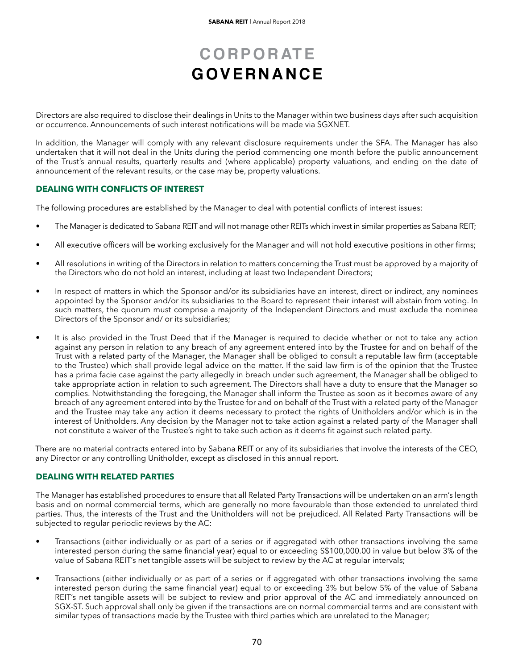Directors are also required to disclose their dealings in Units to the Manager within two business days after such acquisition or occurrence. Announcements of such interest notifications will be made via SGXNET.

In addition, the Manager will comply with any relevant disclosure requirements under the SFA. The Manager has also undertaken that it will not deal in the Units during the period commencing one month before the public announcement of the Trust's annual results, quarterly results and (where applicable) property valuations, and ending on the date of announcement of the relevant results, or the case may be, property valuations.

### **DEALING WITH CONFLICTS OF INTEREST**

The following procedures are established by the Manager to deal with potential conflicts of interest issues:

- The Manager is dedicated to Sabana REIT and will not manage other REITs which invest in similar properties as Sabana REIT;
- All executive officers will be working exclusively for the Manager and will not hold executive positions in other firms;
- All resolutions in writing of the Directors in relation to matters concerning the Trust must be approved by a majority of the Directors who do not hold an interest, including at least two Independent Directors;
- In respect of matters in which the Sponsor and/or its subsidiaries have an interest, direct or indirect, any nominees appointed by the Sponsor and/or its subsidiaries to the Board to represent their interest will abstain from voting. In such matters, the quorum must comprise a majority of the Independent Directors and must exclude the nominee Directors of the Sponsor and/ or its subsidiaries;
- It is also provided in the Trust Deed that if the Manager is required to decide whether or not to take any action against any person in relation to any breach of any agreement entered into by the Trustee for and on behalf of the Trust with a related party of the Manager, the Manager shall be obliged to consult a reputable law firm (acceptable to the Trustee) which shall provide legal advice on the matter. If the said law firm is of the opinion that the Trustee has a prima facie case against the party allegedly in breach under such agreement, the Manager shall be obliged to take appropriate action in relation to such agreement. The Directors shall have a duty to ensure that the Manager so complies. Notwithstanding the foregoing, the Manager shall inform the Trustee as soon as it becomes aware of any breach of any agreement entered into by the Trustee for and on behalf of the Trust with a related party of the Manager and the Trustee may take any action it deems necessary to protect the rights of Unitholders and/or which is in the interest of Unitholders. Any decision by the Manager not to take action against a related party of the Manager shall not constitute a waiver of the Trustee's right to take such action as it deems fit against such related party.

There are no material contracts entered into by Sabana REIT or any of its subsidiaries that involve the interests of the CEO, any Director or any controlling Unitholder, except as disclosed in this annual report.

### **DEALING WITH RELATED PARTIES**

The Manager has established procedures to ensure that all Related Party Transactions will be undertaken on an arm's length basis and on normal commercial terms, which are generally no more favourable than those extended to unrelated third parties. Thus, the interests of the Trust and the Unitholders will not be prejudiced. All Related Party Transactions will be subjected to regular periodic reviews by the AC:

- Transactions (either individually or as part of a series or if aggregated with other transactions involving the same interested person during the same financial year) equal to or exceeding S\$100,000.00 in value but below 3% of the value of Sabana REIT's net tangible assets will be subject to review by the AC at regular intervals;
- Transactions (either individually or as part of a series or if aggregated with other transactions involving the same interested person during the same financial year) equal to or exceeding 3% but below 5% of the value of Sabana REIT's net tangible assets will be subject to review and prior approval of the AC and immediately announced on SGX-ST. Such approval shall only be given if the transactions are on normal commercial terms and are consistent with similar types of transactions made by the Trustee with third parties which are unrelated to the Manager;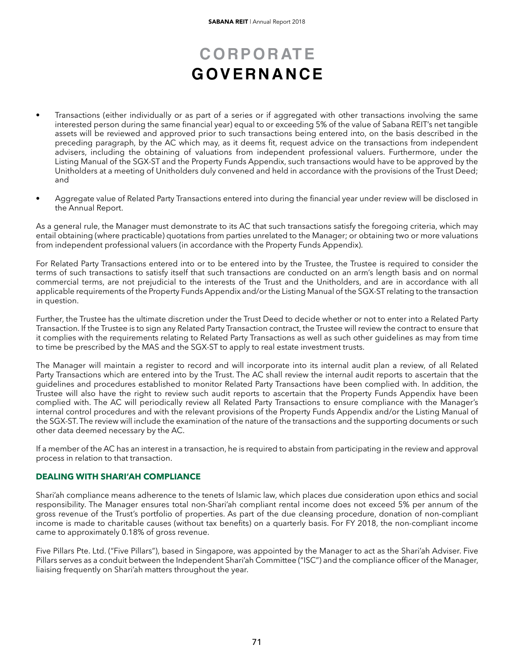- Transactions (either individually or as part of a series or if aggregated with other transactions involving the same interested person during the same financial year) equal to or exceeding 5% of the value of Sabana REIT's net tangible assets will be reviewed and approved prior to such transactions being entered into, on the basis described in the preceding paragraph, by the AC which may, as it deems fit, request advice on the transactions from independent advisers, including the obtaining of valuations from independent professional valuers. Furthermore, under the Listing Manual of the SGX-ST and the Property Funds Appendix, such transactions would have to be approved by the Unitholders at a meeting of Unitholders duly convened and held in accordance with the provisions of the Trust Deed; and
- Aggregate value of Related Party Transactions entered into during the financial year under review will be disclosed in the Annual Report.

As a general rule, the Manager must demonstrate to its AC that such transactions satisfy the foregoing criteria, which may entail obtaining (where practicable) quotations from parties unrelated to the Manager; or obtaining two or more valuations from independent professional valuers (in accordance with the Property Funds Appendix).

For Related Party Transactions entered into or to be entered into by the Trustee, the Trustee is required to consider the terms of such transactions to satisfy itself that such transactions are conducted on an arm's length basis and on normal commercial terms, are not prejudicial to the interests of the Trust and the Unitholders, and are in accordance with all applicable requirements of the Property Funds Appendix and/or the Listing Manual of the SGX-ST relating to the transaction in question.

Further, the Trustee has the ultimate discretion under the Trust Deed to decide whether or not to enter into a Related Party Transaction. If the Trustee is to sign any Related Party Transaction contract, the Trustee will review the contract to ensure that it complies with the requirements relating to Related Party Transactions as well as such other guidelines as may from time to time be prescribed by the MAS and the SGX-ST to apply to real estate investment trusts.

The Manager will maintain a register to record and will incorporate into its internal audit plan a review, of all Related Party Transactions which are entered into by the Trust. The AC shall review the internal audit reports to ascertain that the guidelines and procedures established to monitor Related Party Transactions have been complied with. In addition, the Trustee will also have the right to review such audit reports to ascertain that the Property Funds Appendix have been complied with. The AC will periodically review all Related Party Transactions to ensure compliance with the Manager's internal control procedures and with the relevant provisions of the Property Funds Appendix and/or the Listing Manual of the SGX-ST. The review will include the examination of the nature of the transactions and the supporting documents or such other data deemed necessary by the AC.

If a member of the AC has an interest in a transaction, he is required to abstain from participating in the review and approval process in relation to that transaction.

### **DEALING WITH SHARI'AH COMPLIANCE**

Shari'ah compliance means adherence to the tenets of Islamic law, which places due consideration upon ethics and social responsibility. The Manager ensures total non-Shari'ah compliant rental income does not exceed 5% per annum of the gross revenue of the Trust's portfolio of properties. As part of the due cleansing procedure, donation of non-compliant income is made to charitable causes (without tax benefits) on a quarterly basis. For FY 2018, the non-compliant income came to approximately 0.18% of gross revenue.

Five Pillars Pte. Ltd. ("Five Pillars"), based in Singapore, was appointed by the Manager to act as the Shari'ah Adviser. Five Pillars serves as a conduit between the Independent Shari'ah Committee ("ISC") and the compliance officer of the Manager, liaising frequently on Shari'ah matters throughout the year.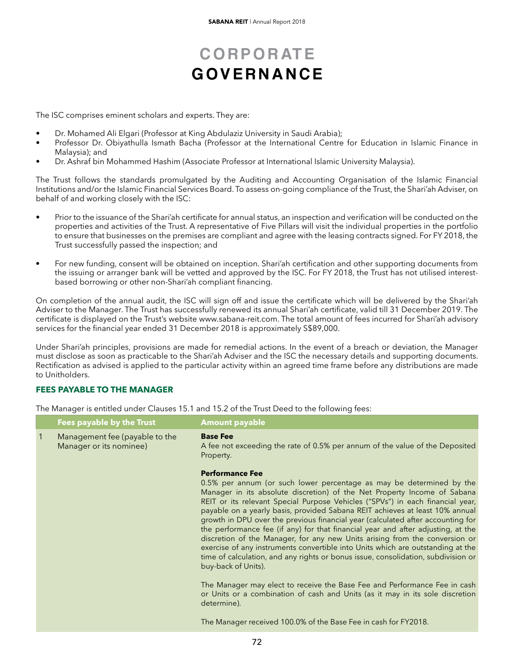The ISC comprises eminent scholars and experts. They are:

- Dr. Mohamed Ali Elgari (Professor at King Abdulaziz University in Saudi Arabia);
- Professor Dr. Obiyathulla Ismath Bacha (Professor at the International Centre for Education in Islamic Finance in Malaysia); and
- Dr. Ashraf bin Mohammed Hashim (Associate Professor at International Islamic University Malaysia).

The Trust follows the standards promulgated by the Auditing and Accounting Organisation of the Islamic Financial Institutions and/or the Islamic Financial Services Board. To assess on-going compliance of the Trust, the Shari'ah Adviser, on behalf of and working closely with the ISC:

- Prior to the issuance of the Shari'ah certificate for annual status, an inspection and verification will be conducted on the properties and activities of the Trust. A representative of Five Pillars will visit the individual properties in the portfolio to ensure that businesses on the premises are compliant and agree with the leasing contracts signed. For FY 2018, the Trust successfully passed the inspection; and
- For new funding, consent will be obtained on inception. Shari'ah certification and other supporting documents from the issuing or arranger bank will be vetted and approved by the ISC. For FY 2018, the Trust has not utilised interestbased borrowing or other non-Shari'ah compliant financing.

On completion of the annual audit, the ISC will sign off and issue the certificate which will be delivered by the Shari'ah Adviser to the Manager. The Trust has successfully renewed its annual Shari'ah certificate, valid till 31 December 2019. The certificate is displayed on the Trust's website www.sabana-reit.com. The total amount of fees incurred for Shari'ah advisory services for the financial year ended 31 December 2018 is approximately S\$89,000.

Under Shari'ah principles, provisions are made for remedial actions. In the event of a breach or deviation, the Manager must disclose as soon as practicable to the Shari'ah Adviser and the ISC the necessary details and supporting documents. Rectification as advised is applied to the particular activity within an agreed time frame before any distributions are made to Unitholders.

### **FEES PAYABLE TO THE MANAGER**

The Manager is entitled under Clauses 15.1 and 15.2 of the Trust Deed to the following fees:

|              | <b>Fees payable by the Trust</b>                          | <b>Amount payable</b>                                                                                                                                                                                                                                                                                                                                                                                                                                                                                                                                                                                                                                                                                                                                                                             |
|--------------|-----------------------------------------------------------|---------------------------------------------------------------------------------------------------------------------------------------------------------------------------------------------------------------------------------------------------------------------------------------------------------------------------------------------------------------------------------------------------------------------------------------------------------------------------------------------------------------------------------------------------------------------------------------------------------------------------------------------------------------------------------------------------------------------------------------------------------------------------------------------------|
| $\mathbf{T}$ | Management fee (payable to the<br>Manager or its nominee) | <b>Base Fee</b><br>A fee not exceeding the rate of 0.5% per annum of the value of the Deposited<br>Property.                                                                                                                                                                                                                                                                                                                                                                                                                                                                                                                                                                                                                                                                                      |
|              |                                                           | <b>Performance Fee</b><br>0.5% per annum (or such lower percentage as may be determined by the<br>Manager in its absolute discretion) of the Net Property Income of Sabana<br>REIT or its relevant Special Purpose Vehicles ("SPVs") in each financial year,<br>payable on a yearly basis, provided Sabana REIT achieves at least 10% annual<br>growth in DPU over the previous financial year (calculated after accounting for<br>the performance fee (if any) for that financial year and after adjusting, at the<br>discretion of the Manager, for any new Units arising from the conversion or<br>exercise of any instruments convertible into Units which are outstanding at the<br>time of calculation, and any rights or bonus issue, consolidation, subdivision or<br>buy-back of Units). |
|              |                                                           | The Manager may elect to receive the Base Fee and Performance Fee in cash<br>or Units or a combination of cash and Units (as it may in its sole discretion<br>determine).                                                                                                                                                                                                                                                                                                                                                                                                                                                                                                                                                                                                                         |
|              |                                                           | The Manager received 100.0% of the Base Fee in cash for FY2018.                                                                                                                                                                                                                                                                                                                                                                                                                                                                                                                                                                                                                                                                                                                                   |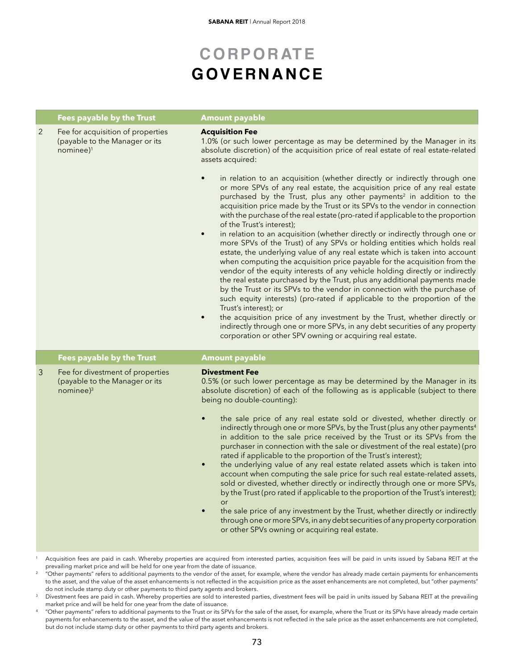|                | <b>Fees payable by the Trust</b>                                                             | <b>Amount payable</b>                                                                                                                                                                                                                                                                                                                                                                                                                                                                                                                                                                                                                                                                                                                                                                                                                                                                                                                                                                                                                                                                                                                                                                                                                                                                                              |
|----------------|----------------------------------------------------------------------------------------------|--------------------------------------------------------------------------------------------------------------------------------------------------------------------------------------------------------------------------------------------------------------------------------------------------------------------------------------------------------------------------------------------------------------------------------------------------------------------------------------------------------------------------------------------------------------------------------------------------------------------------------------------------------------------------------------------------------------------------------------------------------------------------------------------------------------------------------------------------------------------------------------------------------------------------------------------------------------------------------------------------------------------------------------------------------------------------------------------------------------------------------------------------------------------------------------------------------------------------------------------------------------------------------------------------------------------|
| $\overline{2}$ | Fee for acquisition of properties<br>(payable to the Manager or its<br>nominee) <sup>1</sup> | <b>Acquisition Fee</b><br>1.0% (or such lower percentage as may be determined by the Manager in its<br>absolute discretion) of the acquisition price of real estate of real estate-related<br>assets acquired:                                                                                                                                                                                                                                                                                                                                                                                                                                                                                                                                                                                                                                                                                                                                                                                                                                                                                                                                                                                                                                                                                                     |
|                |                                                                                              | in relation to an acquisition (whether directly or indirectly through one<br>$\bullet$<br>or more SPVs of any real estate, the acquisition price of any real estate<br>purchased by the Trust, plus any other payments <sup>2</sup> in addition to the<br>acquisition price made by the Trust or its SPVs to the vendor in connection<br>with the purchase of the real estate (pro-rated if applicable to the proportion<br>of the Trust's interest);<br>in relation to an acquisition (whether directly or indirectly through one or<br>$\bullet$<br>more SPVs of the Trust) of any SPVs or holding entities which holds real<br>estate, the underlying value of any real estate which is taken into account<br>when computing the acquisition price payable for the acquisition from the<br>vendor of the equity interests of any vehicle holding directly or indirectly<br>the real estate purchased by the Trust, plus any additional payments made<br>by the Trust or its SPVs to the vendor in connection with the purchase of<br>such equity interests) (pro-rated if applicable to the proportion of the<br>Trust's interest); or<br>the acquisition price of any investment by the Trust, whether directly or<br>$\bullet$<br>indirectly through one or more SPVs, in any debt securities of any property |
|                |                                                                                              | corporation or other SPV owning or acquiring real estate.                                                                                                                                                                                                                                                                                                                                                                                                                                                                                                                                                                                                                                                                                                                                                                                                                                                                                                                                                                                                                                                                                                                                                                                                                                                          |
|                | <b>Fees payable by the Trust</b>                                                             | <b>Amount payable</b>                                                                                                                                                                                                                                                                                                                                                                                                                                                                                                                                                                                                                                                                                                                                                                                                                                                                                                                                                                                                                                                                                                                                                                                                                                                                                              |
| 3              | Fee for divestment of properties<br>(payable to the Manager or its<br>$n$ ominee $)^3$       | <b>Divestment Fee</b><br>0.5% (or such lower percentage as may be determined by the Manager in its<br>absolute discretion) of each of the following as is applicable (subject to there<br>being no double-counting):<br>the sale price of any real estate sold or divested, whether directly or<br>indirectly through one or more SPVs, by the Trust (plus any other payments <sup>4</sup><br>in addition to the sale price received by the Trust or its SPVs from the<br>purchaser in connection with the sale or divestment of the real estate) (pro<br>rated if applicable to the proportion of the Trust's interest);<br>the underlying value of any real estate related assets which is taken into<br>$\bullet$<br>account when computing the sale price for such real estate-related assets,<br>sold or divested, whether directly or indirectly through one or more SPVs,<br>by the Trust (pro rated if applicable to the proportion of the Trust's interest);<br>or<br>the sale price of any investment by the Trust, whether directly or indirectly<br>$\bullet$<br>through one or more SPVs, in any debt securities of any property corporation<br>or other SPVs owning or acquiring real estate.                                                                                                        |

<sup>1</sup> Acquisition fees are paid in cash. Whereby properties are acquired from interested parties, acquisition fees will be paid in units issued by Sabana REIT at the prevailing market price and will be held for one year from the date of issuance.

 $^\mathrm{2}$  "Other payments" refers to additional payments to the vendor of the asset, for example, where the vendor has already made certain payments for enhancements to the asset, and the value of the asset enhancements is not reflected in the acquisition price as the asset enhancements are not completed, but "other payments" do not include stamp duty or other payments to third party agents and brokers.

- <sup>3</sup> Divestment fees are paid in cash. Whereby properties are sold to interested parties, divestment fees will be paid in units issued by Sabana REIT at the prevailing market price and will be held for one year from the date of issuance.
- "Other payments" refers to additional payments to the Trust or its SPVs for the sale of the asset, for example, where the Trust or its SPVs have already made certain payments for enhancements to the asset, and the value of the asset enhancements is not reflected in the sale price as the asset enhancements are not completed, but do not include stamp duty or other payments to third party agents and brokers.